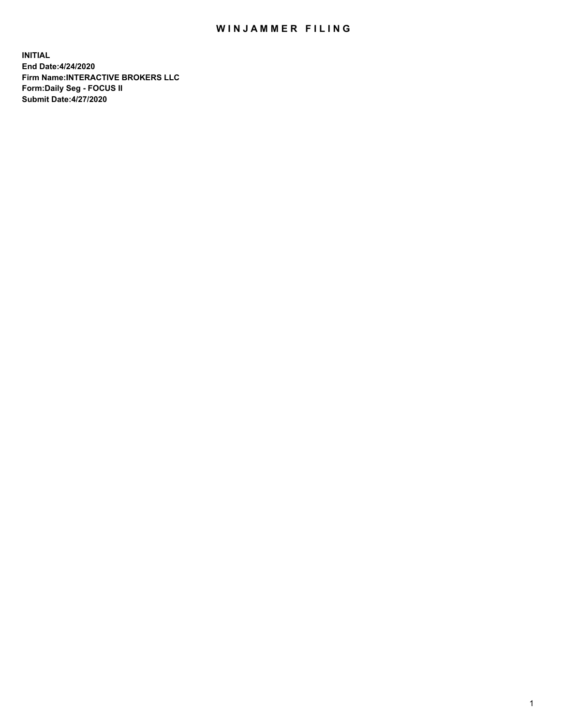## WIN JAMMER FILING

**INITIAL End Date:4/24/2020 Firm Name:INTERACTIVE BROKERS LLC Form:Daily Seg - FOCUS II Submit Date:4/27/2020**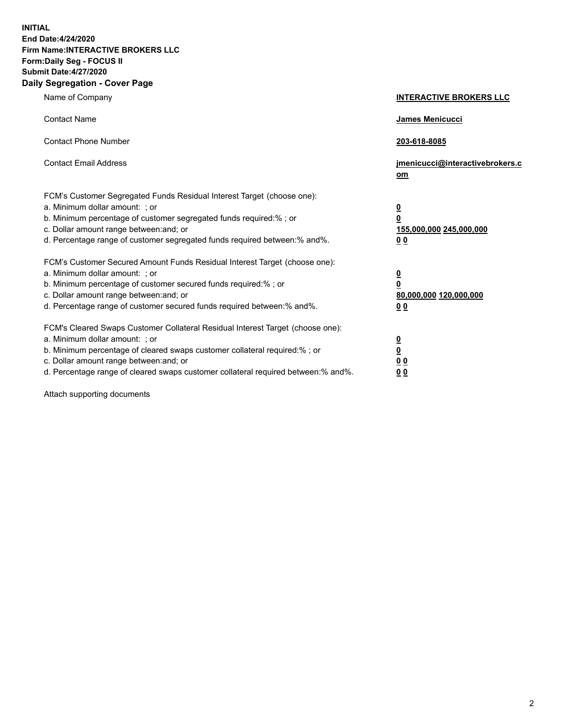**INITIAL End Date:4/24/2020 Firm Name:INTERACTIVE BROKERS LLC Form:Daily Seg - FOCUS II Submit Date:4/27/2020 Daily Segregation - Cover Page**

| Name of Company                                                                                                                                                                                                                                                                                                               | <b>INTERACTIVE BROKERS LLC</b>                                                   |  |
|-------------------------------------------------------------------------------------------------------------------------------------------------------------------------------------------------------------------------------------------------------------------------------------------------------------------------------|----------------------------------------------------------------------------------|--|
| <b>Contact Name</b>                                                                                                                                                                                                                                                                                                           | James Menicucci                                                                  |  |
| <b>Contact Phone Number</b>                                                                                                                                                                                                                                                                                                   | 203-618-8085                                                                     |  |
| <b>Contact Email Address</b>                                                                                                                                                                                                                                                                                                  | jmenicucci@interactivebrokers.c<br>om                                            |  |
| FCM's Customer Segregated Funds Residual Interest Target (choose one):<br>a. Minimum dollar amount: ; or<br>b. Minimum percentage of customer segregated funds required:% ; or<br>c. Dollar amount range between: and; or<br>d. Percentage range of customer segregated funds required between:% and%.                        | <u>0</u><br>$\overline{\mathbf{0}}$<br>155,000,000 245,000,000<br>0 <sub>0</sub> |  |
| FCM's Customer Secured Amount Funds Residual Interest Target (choose one):<br>a. Minimum dollar amount: ; or<br>b. Minimum percentage of customer secured funds required:%; or<br>c. Dollar amount range between: and; or<br>d. Percentage range of customer secured funds required between:% and%.                           | <u>0</u><br>$\overline{\mathbf{0}}$<br>80,000,000 120,000,000<br>0 <sub>0</sub>  |  |
| FCM's Cleared Swaps Customer Collateral Residual Interest Target (choose one):<br>a. Minimum dollar amount: ; or<br>b. Minimum percentage of cleared swaps customer collateral required:%; or<br>c. Dollar amount range between: and; or<br>d. Percentage range of cleared swaps customer collateral required between:% and%. | <u>0</u><br>$\underline{\mathbf{0}}$<br>0 <sub>0</sub><br>0 <sub>0</sub>         |  |

Attach supporting documents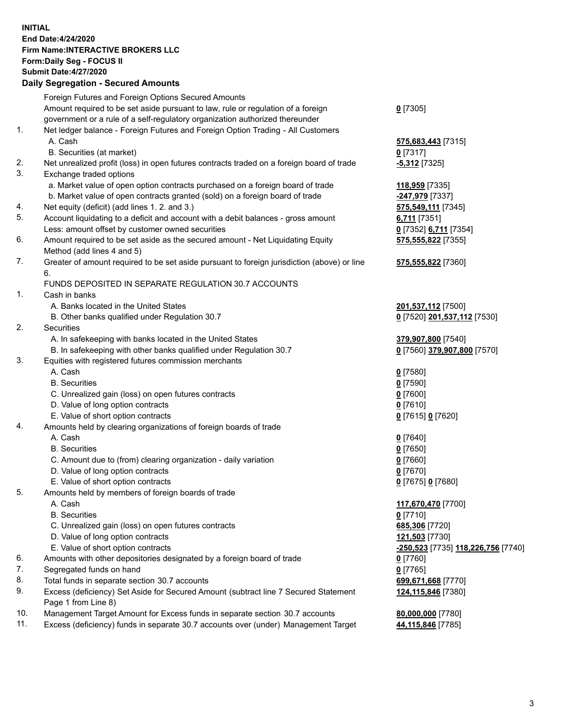**INITIAL End Date:4/24/2020 Firm Name:INTERACTIVE BROKERS LLC Form:Daily Seg - FOCUS II Submit Date:4/27/2020 Daily Segregation - Secured Amounts**

## Foreign Futures and Foreign Options Secured Amounts Amount required to be set aside pursuant to law, rule or regulation of a foreign government or a rule of a self-regulatory organization authorized thereunder **0** [7305] 1. Net ledger balance - Foreign Futures and Foreign Option Trading - All Customers A. Cash **575,683,443** [7315] B. Securities (at market) **0** [7317] 2. Net unrealized profit (loss) in open futures contracts traded on a foreign board of trade **-5,312** [7325] 3. Exchange traded options a. Market value of open option contracts purchased on a foreign board of trade **118,959** [7335] b. Market value of open contracts granted (sold) on a foreign board of trade **-247,979** [7337] 4. Net equity (deficit) (add lines 1. 2. and 3.) **575,549,111** [7345] 5. Account liquidating to a deficit and account with a debit balances - gross amount **6,711** [7351] Less: amount offset by customer owned securities **0** [7352] **6,711** [7354] 6. Amount required to be set aside as the secured amount - Net Liquidating Equity Method (add lines 4 and 5) **575,555,822** [7355] 7. Greater of amount required to be set aside pursuant to foreign jurisdiction (above) or line 6. **575,555,822** [7360] FUNDS DEPOSITED IN SEPARATE REGULATION 30.7 ACCOUNTS 1. Cash in banks A. Banks located in the United States **201,537,112** [7500] B. Other banks qualified under Regulation 30.7 **0** [7520] **201,537,112** [7530] 2. Securities A. In safekeeping with banks located in the United States **379,907,800** [7540] B. In safekeeping with other banks qualified under Regulation 30.7 **0** [7560] **379,907,800** [7570] 3. Equities with registered futures commission merchants A. Cash **0** [7580] B. Securities **0** [7590] C. Unrealized gain (loss) on open futures contracts **0** [7600] D. Value of long option contracts **0** [7610] E. Value of short option contracts **0** [7615] **0** [7620] 4. Amounts held by clearing organizations of foreign boards of trade A. Cash **0** [7640] B. Securities **0** [7650] C. Amount due to (from) clearing organization - daily variation **0** [7660] D. Value of long option contracts **0** [7670] E. Value of short option contracts **0** [7675] **0** [7680] 5. Amounts held by members of foreign boards of trade A. Cash **117,670,470** [7700] B. Securities **0** [7710] C. Unrealized gain (loss) on open futures contracts **685,306** [7720] D. Value of long option contracts **121,503** [7730] E. Value of short option contracts **-250,523** [7735] **118,226,756** [7740] 6. Amounts with other depositories designated by a foreign board of trade **0** [7760] 7. Segregated funds on hand **0** [7765] 8. Total funds in separate section 30.7 accounts **699,671,668** [7770] 9. Excess (deficiency) Set Aside for Secured Amount (subtract line 7 Secured Statement Page 1 from Line 8) **124,115,846** [7380] 10. Management Target Amount for Excess funds in separate section 30.7 accounts **80,000,000** [7780] 11. Excess (deficiency) funds in separate 30.7 accounts over (under) Management Target **44,115,846** [7785]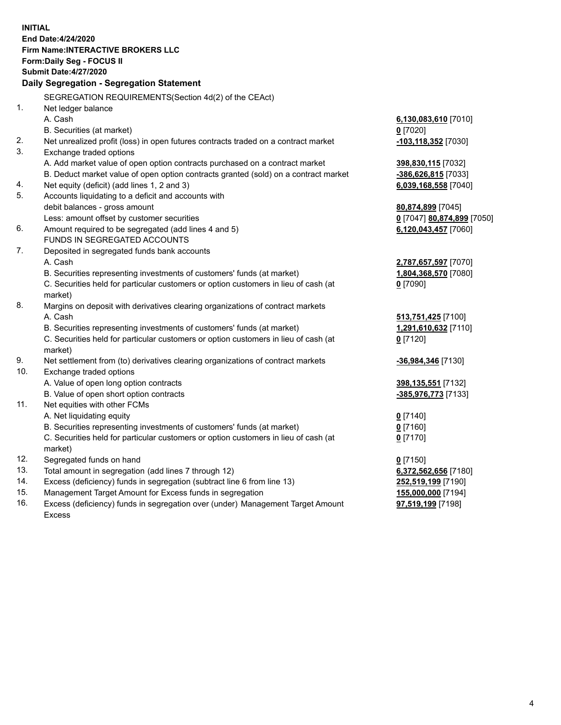**INITIAL End Date:4/24/2020 Firm Name:INTERACTIVE BROKERS LLC Form:Daily Seg - FOCUS II Submit Date:4/27/2020 Daily Segregation - Segregation Statement** SEGREGATION REQUIREMENTS(Section 4d(2) of the CEAct) 1. Net ledger balance A. Cash **6,130,083,610** [7010] B. Securities (at market) **0** [7020] 2. Net unrealized profit (loss) in open futures contracts traded on a contract market **-103,118,352** [7030] 3. Exchange traded options A. Add market value of open option contracts purchased on a contract market **398,830,115** [7032] B. Deduct market value of open option contracts granted (sold) on a contract market **-386,626,815** [7033] 4. Net equity (deficit) (add lines 1, 2 and 3) **6,039,168,558** [7040] 5. Accounts liquidating to a deficit and accounts with debit balances - gross amount **80,874,899** [7045] Less: amount offset by customer securities **0** [7047] **80,874,899** [7050] 6. Amount required to be segregated (add lines 4 and 5) **6,120,043,457** [7060] FUNDS IN SEGREGATED ACCOUNTS 7. Deposited in segregated funds bank accounts A. Cash **2,787,657,597** [7070] B. Securities representing investments of customers' funds (at market) **1,804,368,570** [7080] C. Securities held for particular customers or option customers in lieu of cash (at market) **0** [7090] 8. Margins on deposit with derivatives clearing organizations of contract markets A. Cash **513,751,425** [7100] B. Securities representing investments of customers' funds (at market) **1,291,610,632** [7110] C. Securities held for particular customers or option customers in lieu of cash (at market) **0** [7120] 9. Net settlement from (to) derivatives clearing organizations of contract markets **-36,984,346** [7130] 10. Exchange traded options A. Value of open long option contracts **398,135,551** [7132] B. Value of open short option contracts **-385,976,773** [7133] 11. Net equities with other FCMs A. Net liquidating equity **0** [7140] B. Securities representing investments of customers' funds (at market) **0** [7160] C. Securities held for particular customers or option customers in lieu of cash (at market) **0** [7170] 12. Segregated funds on hand **0** [7150] 13. Total amount in segregation (add lines 7 through 12) **6,372,562,656** [7180] 14. Excess (deficiency) funds in segregation (subtract line 6 from line 13) **252,519,199** [7190] 15. Management Target Amount for Excess funds in segregation **155,000,000** [7194] 16. Excess (deficiency) funds in segregation over (under) Management Target Amount Excess **97,519,199** [7198]